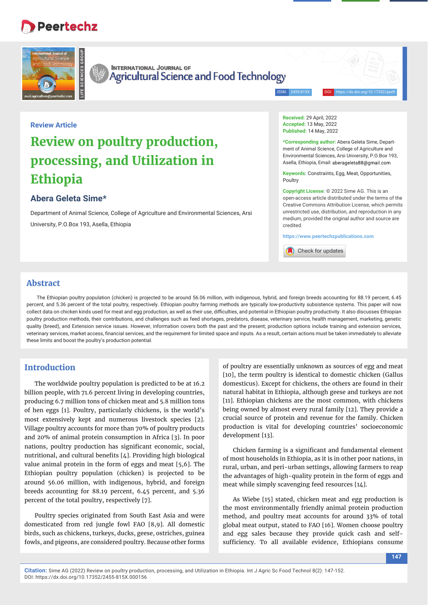# **Peertechz**



**INTERNATIONAL JOURNAL OF** Agricultural Science and Food Technology

ISSN: 2455-815X DOI: https://dx.doi.org/10.17352/ijasft

## **Review Article**

# **Review on poultry production, processing, and Utilization in Ethiopia**

# **Abera Geleta Sime\***

Department of Animal Science, College of Agriculture and Environmental Sciences, Arsi University, P.O.Box 193, Asella, Ethiopia

**Received:** 29 April, 2022 **Accepted:** 13 May, 2022 **Published:** 14 May, 2022

**\*Corresponding author:** Abera Geleta Sime, Department of Animal Science, College of Agriculture and Environmental Sciences, Arsi University, P.O.Box 193, Asella, Ethiopia, Email: aberageleta88@gmail.com

**Keywords:** Constraints, Egg, Meat, Opportunities, Poultry

**Copyright License:** © 2022 Sime AG. This is an open-access article distributed under the terms of the Creative Commons Attribution License, which permits unrestricted use, distribution, and reproduction in any medium, provided the original author and source are credited.

**https://www.peertechzpublications.com**

Check for updates

## **Abstract**

The Ethiopian poultry population (chicken) is projected to be around 56.06 million, with indigenous, hybrid, and foreign breeds accounting for 88.19 percent, 6.45 percent, and 5.36 percent of the total poultry, respectively. Ethiopian poultry farming methods are typically low-productivity subsistence systems. This paper will now collect data on chicken kinds used for meat and egg production, as well as their use, difficulties, and potential in Ethiopian poultry productivity. It also discusses Ethiopian poultry production methods, their contributions, and challenges such as feed shortages, predators, disease, veterinary service, health management, marketing, genetic quality (breed), and Extension service issues. However, information covers both the past and the present; production options include training and extension services, veterinary services, market access, financial services, and the requirement for limited space and inputs. As a result, certain actions must be taken immediately to alleviate these limits and boost the poultry's production potential.

## **Introduction**

The worldwide poultry population is predicted to be at 16.2 billion people, with 71.6 percent living in developing countries, producing 6.7 million tons of chicken meat and 5.8 million tons of hen eggs [1]. Poultry, particularly chickens, is the world's most extensively kept and numerous livestock species [2]. Village poultry accounts for more than 70% of poultry products and 20% of animal protein consumption in Africa [3]. In poor nations, poultry production has significant economic, social, nutritional, and cultural benefits [4]. Providing high biological value animal protein in the form of eggs and meat [5,6]. The Ethiopian poultry population (chicken) is projected to be around 56.06 million, with indigenous, hybrid, and foreign breeds accounting for 88.19 percent, 6.45 percent, and 5.36 percent of the total poultry, respectively [7].

Poultry species originated from South East Asia and were domesticated from red jungle fowl FAO [8,9]. All domestic birds, such as chickens, turkeys, ducks, geese, ostriches, guinea fowls, and pigeons, are considered poultry. Because other forms

of poultry are essentially unknown as sources of egg and meat [10], the term poultry is identical to domestic chicken (Gallus domesticus). Except for chickens, the others are found in their natural habitat in Ethiopia, although geese and turkeys are not [11]. Ethiopian chickens are the most common, with chickens being owned by almost every rural family [12]. They provide a crucial source of protein and revenue for the family. Chicken production is vital for developing countries' socioeconomic development [13].

Chicken farming is a significant and fundamental element of most households in Ethiopia, as it is in other poor nations, in rural, urban, and peri-urban settings, allowing farmers to reap the advantages of high-quality protein in the form of eggs and meat while simply scavenging feed resources [14].

As Wiebe [15] stated, chicken meat and egg production is the most environmentally friendly animal protein production method, and poultry meat accounts for around 33% of total global meat output, stated to FAO [16]. Women choose poultry and egg sales because they provide quick cash and selfsufficiency. To all available evidence, Ethiopians consume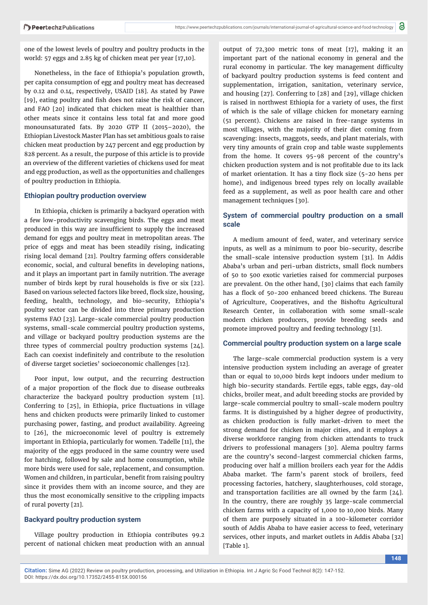one of the lowest levels of poultry and poultry products in the world: 57 eggs and 2.85 kg of chicken meat per year [17,10].

Nonetheless, in the face of Ethiopia's population growth, per capita consumption of egg and poultry meat has decreased by 0.12 and 0.14, respectively, USAID [18]. As stated by Pawe  $[19]$ , eating poultry and fish does not raise the risk of cancer, and FAO [20] indicated that chicken meat is healthier than other meats since it contains less total fat and more good monounsaturated fats. By 2020 GTP II (2015–2020), the Ethiopian Livestock Master Plan has set ambitious goals to raise chicken meat production by 247 percent and egg production by 828 percent. As a result, the purpose of this article is to provide an overview of the different varieties of chickens used for meat and egg production, as well as the opportunities and challenges of poultry production in Ethiopia.

#### **Ethiopian poultry production overview**

In Ethiopia, chicken is primarily a backyard operation with a few low-productivity scavenging birds. The eggs and meat produced in this way are insufficient to supply the increased demand for eggs and poultry meat in metropolitan areas. The price of eggs and meat has been steadily rising, indicating rising local demand [21]. Poultry farming offers considerable economic, social, and cultural benefits in developing nations, and it plays an important part in family nutrition. The average number of birds kept by rural households is five or six [22]. Based on various selected factors like breed, flock size, housing, feeding, health, technology, and bio-security, Ethiopia's poultry sector can be divided into three primary production systems FAO [23]. Large-scale commercial poultry production systems, small-scale commercial poultry production systems, and village or backyard poultry production systems are the three types of commercial poultry production systems [24]. Each can coexist indefinitely and contribute to the resolution of diverse target societies' socioeconomic challenges [12].

Poor input, low output, and the recurring destruction of a major proportion of the flock due to disease outbreaks characterize the backyard poultry production system [11]. Conferring to [25], in Ethiopia, price fluctuations in village hens and chicken products were primarily linked to customer purchasing power, fasting, and product availability. Agreeing to [26], the microeconomic level of poultry is extremely important in Ethiopia, particularly for women. Tadelle [11], the majority of the eggs produced in the same country were used for hatching, followed by sale and home consumption, while more birds were used for sale, replacement, and consumption. Women and children, in particular, benefit from raising poultry since it provides them with an income source, and they are thus the most economically sensitive to the crippling impacts of rural poverty [21].

#### **Backyard poultry production system**

Village poultry production in Ethiopia contributes 99.2 percent of national chicken meat production with an annual output of 72,300 metric tons of meat [17], making it an important part of the national economy in general and the rural economy in particular. The key management difficulty of backyard poultry production systems is feed content and supplementation, irrigation, sanitation, veterinary service, and housing [27]. Conferring to [28] and [29], village chicken is raised in northwest Ethiopia for a variety of uses, the first of which is the sale of village chicken for monetary earning (51 percent). Chickens are raised in free-range systems in most villages, with the majority of their diet coming from scavenging: insects, maggots, seeds, and plant materials, with very tiny amounts of grain crop and table waste supplements from the home. It covers 95-98 percent of the country's chicken production system and is not profitable due to its lack of market orientation. It has a tiny flock size (5-20 hens per home), and indigenous breed types rely on locally available feed as a supplement, as well as poor health care and other management techniques [30].

## **System of commercial poultry production on a small scale**

A medium amount of feed, water, and veterinary service inputs, as well as a minimum to poor bio-security, describe the small-scale intensive production system [31]. In Addis Ababa's urban and peri-urban districts, small flock numbers of 50 to 500 exotic varieties raised for commercial purposes are prevalent. On the other hand, [30] claims that each family has a flock of 50-200 enhanced breed chickens. The Bureau of Agriculture, Cooperatives, and the Bishoftu Agricultural Research Center, in collaboration with some small-scale modern chicken producers, provide breeding seeds and promote improved poultry and feeding technology [31].

### **Commercial poultry production system on a large scale**

The large-scale commercial production system is a very intensive production system including an average of greater than or equal to 10,000 birds kept indoors under medium to high bio-security standards. Fertile eggs, table eggs, day-old chicks, broiler meat, and adult breeding stocks are provided by large-scale commercial poultry to small-scale modern poultry farms. It is distinguished by a higher degree of productivity, as chicken production is fully market-driven to meet the strong demand for chicken in major cities, and it employs a diverse workforce ranging from chicken attendants to truck drivers to professional managers [30]. Alema poultry farms are the country's second-largest commercial chicken farms, producing over half a million broilers each year for the Addis Ababa market. The farm's parent stock of broilers, feed processing factories, hatchery, slaughterhouses, cold storage, and transportation facilities are all owned by the farm [24]. In the country, there are roughly 35 large-scale commercial chicken farms with a capacity of 1,000 to 10,000 birds. Many of them are purposely situated in a 100-kilometer corridor south of Addis Ababa to have easier access to feed, veterinary services, other inputs, and market outlets in Addis Ababa [32] [Table 1].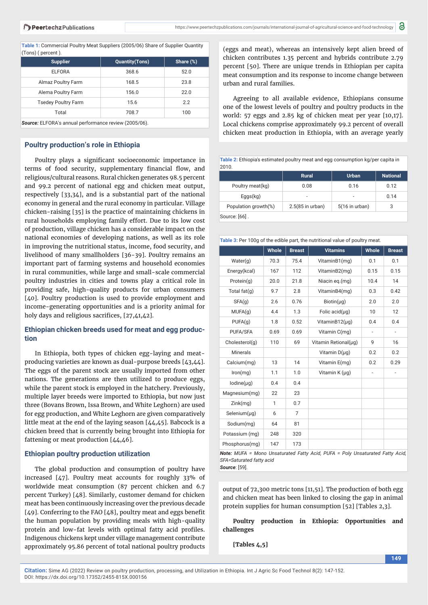**Table 1:** Commercial Poultry Meat Suppliers (2005/06) Share of Supplier Quantity (Tons) ( percent ).

| <b>Supplier</b>                                       | <b>Quantity(Tons)</b> | Share (%) |  |
|-------------------------------------------------------|-----------------------|-----------|--|
| <b>ELFORA</b>                                         | 368.6                 | 52.0      |  |
| Almaz Poultry Farm                                    | 168.5                 | 23.8      |  |
| Alema Poultry Farm                                    | 156.0                 | 22.0      |  |
| <b>Tsedey Poultry Farm</b>                            | 15.6                  | 2.2       |  |
| Total                                                 | 708.7                 | 100       |  |
| Source: ELFORA's annual performance review (2005/06). |                       |           |  |

#### **Poultry production's role in Ethiopia**

Poultry plays a significant socioeconomic importance in terms of food security, supplementary financial flow, and religious/cultural reasons. Rural chicken generates 98.5 percent and 99.2 percent of national egg and chicken meat output, respectively [33,34], and is a substantial part of the national economy in general and the rural economy in particular. Village chicken-raising [35] is the practice of maintaining chickens in rural households employing family effort. Due to its low cost of production, village chicken has a considerable impact on the national economies of developing nations, as well as its role in improving the nutritional status, income, food security, and livelihood of many smallholders [36-39]. Poultry remains an important part of farming systems and household economies in rural communities, while large and small-scale commercial poultry industries in cities and towns play a critical role in providing safe, high-quality products for urban consumers [40]. Poultry production is used to provide employment and income-generating opportunities and is a priority animal for holy days and religious sacrifices,  $[27,41,42]$ .

### **Ethiopian chicken breeds used for meat and egg production**

In Ethiopia, both types of chicken egg-laying and meatproducing varieties are known as dual-purpose breeds [43,44]. The eggs of the parent stock are usually imported from other nations. The generations are then utilized to produce eggs, while the parent stock is employed in the hatchery. Previously, multiple layer breeds were imported to Ethiopia, but now just three (Bovans Brown, Issa Brown, and White Leghorn) are used for egg production, and White Leghorn are given comparatively little meat at the end of the laying season [44,45]. Babcock is a chicken breed that is currently being brought into Ethiopia for fattening or meat production [44,46].

#### **Ethiopian poultry production utilization**

The global production and consumption of poultry have increased [47]. Poultry meat accounts for roughly 33% of worldwide meat consumption (87 percent chicken and 6.7 percent Turkey) [48]. Similarly, customer demand for chicken meat has been continuously increasing over the previous decade  $[49]$ . Conferring to the FAO  $[48]$ , poultry meat and eggs benefit the human population by providing meals with high-quality protein and low-fat levels with optimal fatty acid profiles. Indigenous chickens kept under village management contribute approximately 95.86 percent of total national poultry products

(eggs and meat), whereas an intensively kept alien breed of chicken contributes 1.35 percent and hybrids contribute 2.79 percent [50]. There are unique trends in Ethiopian per capita meat consumption and its response to income change between urban and rural families.

Agreeing to all available evidence, Ethiopians consume one of the lowest levels of poultry and poultry products in the world: 57 eggs and 2.85 kg of chicken meat per year [10,17]. Local chickens comprise approximately 99.2 percent of overall chicken meat production in Ethiopia, with an average yearly

**Table 2:** Ethiopia's estimated poultry meat and egg consumption kg/per capita in 2010.

|                      | Rural              | Urban            | <b>National</b> |
|----------------------|--------------------|------------------|-----------------|
| Poultry meat(kg)     | 0.08               | 0.16             | 0.12            |
| Eggs(kg)             | ۰                  |                  | 0.14            |
| Population growth(%) | $2.5(85$ in urban) | $5(16$ in urban) | 3               |
| Source: [66]         |                    |                  |                 |

ource. [66]

**Table 3:** Per 100g of the edible part, the nutritional value of poultry meat.

|                | <b>Whole</b> | <b>Breast</b> | <b>Vitamins</b>      | Whole                        | <b>Breast</b>            |
|----------------|--------------|---------------|----------------------|------------------------------|--------------------------|
| Water(g)       | 70.3         | 75.4          | VitaminB1(mg)        | 0.1                          | 0.1                      |
| Energy(kcal)   | 167          | 112           | VitaminB2(mg)        | 0.15                         | 0.15                     |
| Protein(g)     | 20.0         | 21.8          | Niacin eq.(mg)       | 10.4                         | 14                       |
| Total $fat(g)$ | 9.7          | 2.8           | VitaminB4(mg)        | 0.3                          | 0.42                     |
| SFA(g)         | 2.6          | 0.76          | $Biotin(\mu q)$      | 2.0                          | 2.0                      |
| MUFA(g)        | 4.4          | 1.3           | Folic $acid(µq)$     | 10                           | 12                       |
| PUFA(g)        | 1.8          | 0.52          | VitaminB12(µg)       | 0.4                          | 0.4                      |
| PUFA/SFA       | 0.69         | 0.69          | Vitamin C(mg)        | $\qquad \qquad \blacksquare$ | $\overline{\phantom{m}}$ |
| Cholesterol(q) | 110          | 69            | Vitamin Retional(µq) | 9                            | 16                       |
| Minerals       |              |               | Vitamin $D(\mu q)$   | 0.2                          | 0.2                      |
| Calcium(mg)    | 13           | 14            | Vitamin E(mg)        | 0.2                          | 0.29                     |
| Iron(mg)       | 1.1          | 1.0           | Vitamin K (µg)       | $\overline{a}$               |                          |
| Iodine(µq)     | 0.4          | 0.4           |                      |                              |                          |
| Magnesium(mg)  | 22           | 23            |                      |                              |                          |
| Zink(mg)       | 1            | 0.7           |                      |                              |                          |
| Selenium(µg)   | 6            | 7             |                      |                              |                          |
| Sodium(mg)     | 64           | 81            |                      |                              |                          |
| Potassium (mg) | 248          | 320           |                      |                              |                          |
| Phosphorus(mg) | 147          | 173           |                      |                              |                          |

*Note: MUFA = Mono Unsaturated Fatty Acid, PUFA = Poly Unsaturated Fatty Acid, SFA=Saturated fatty acid Source*: [59].

output of 72,300 metric tons [11,51]. The production of both egg and chicken meat has been linked to closing the gap in animal protein supplies for human consumption [52] [Tables 2,3].

**Poultry production in Ethiopia: Opportunities and challenges**

**[Tables 4,5]**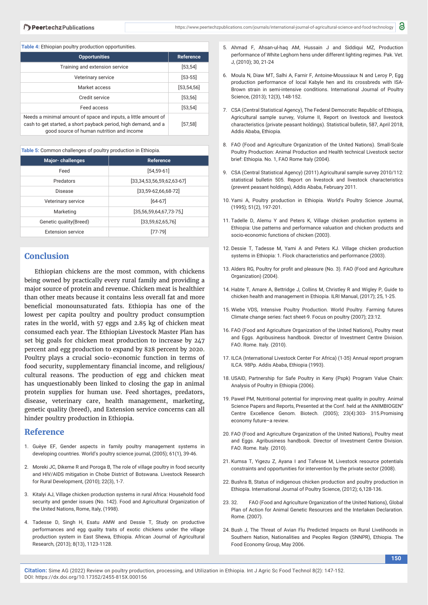**Table 4:** Ethiopian poultry production opportunities.

| <b>Opportunities</b>                                                                                                                                                           | <b>Reference</b> |
|--------------------------------------------------------------------------------------------------------------------------------------------------------------------------------|------------------|
| Training and extension service                                                                                                                                                 | [53, 54]         |
| Veterinary service                                                                                                                                                             | $[53 - 55]$      |
| Market access                                                                                                                                                                  | [53, 54, 56]     |
| Credit service                                                                                                                                                                 | [53, 56]         |
| Feed access                                                                                                                                                                    | [53, 54]         |
| Needs a minimal amount of space and inputs, a little amount of<br>cash to get started, a short payback period, high demand, and a<br>good source of human nutrition and income | [57, 58]         |

#### **Table 5:** Common challenges of poultry production in Ethiopia.

| Major-challenges         | <b>Reference</b>              |
|--------------------------|-------------------------------|
| Feed                     | $[54, 59 - 61]$               |
| Predators                | [33,34,53,56,59,62,63.67]     |
| Disease                  | $[33,59-62,66,68-72]$         |
| Veterinary service       | $[64-67]$                     |
| Marketing                | $[35, 56, 59, 64, 67, 73-75]$ |
| Genetic quality (Breed)  | [33,59,62,65,76]              |
| <b>Extension service</b> | $[77-79]$                     |

## **Conclusion**

Ethiopian chickens are the most common, with chickens being owned by practically every rural family and providing a major source of protein and revenue. Chicken meat is healthier than other meats because it contains less overall fat and more beneficial monounsaturated fats. Ethiopia has one of the lowest per capita poultry and poultry product consumption rates in the world, with 57 eggs and 2.85 kg of chicken meat consumed each year. The Ethiopian Livestock Master Plan has set big goals for chicken meat production to increase by 247 percent and egg production to expand by 828 percent by 2020. Poultry plays a crucial socio-economic function in terms of food security, supplementary financial income, and religious/ cultural reasons. The production of egg and chicken meat has unquestionably been linked to closing the gap in animal protein supplies for human use. Feed shortages, predators, disease, veterinary care, health management, marketing, genetic quality (breed), and Extension service concerns can all hinder poultry production in Ethiopia.

### **Reference**

- 1. Guèye EF, Gender aspects in family poultry management systems in developing countries. World's poultry science journal, (2005); 61(1), 39-46.
- 2. Moreki JC, Dikeme R and Poroga B, The role of village poultry in food security and HIV/AIDS mitigation in Chobe District of Botswana. Livestock Research for Rural Development, (2010); 22(3), 1-7.
- 3. Kitalyi AJ, Village chicken production systems in rural Africa: Household food security and gender issues (No. 142). Food and Agricultural Organization of the United Nations, Rome, Italy, (1998).
- 4. Tadesse D, Singh H, Esatu AMW and Dessie T, Study on productive performances and egg quality traits of exotic chickens under the village production system in East Shewa, Ethiopia. African Journal of Agricultural Research, (2013); 8(13), 1123-1128.
- 5. Ahmad F, Ahsan-ul-haq AM, Hussain J and Siddiqui MZ, Production performance of White Leghorn hens under different lighting regimes. Pak. Vet. J, (2010); 30, 21-24
- 6. Moula N, Diaw MT, Salhi A, Farnir F, Antoine-Moussiaux N and Leroy P, Egg production performance of local Kabyle hen and its crossbreds with ISA-Brown strain in semi-intensive conditions. International Journal of Poultry Science, (2013); 12(3), 148-152.
- 7. CSA (Central Statistical Agency), The Federal Democratic Republic of Ethiopia, Agricultural sample survey, Volume II, Report on livestock and livestock characteristics (private peasant holdings). Statistical bulletin, 587, April 2018, Addis Ababa, Ethiopia.
- 8. FAO (Food and Agriculture Organization of the United Nations). Small-Scale Poultry Production: Animal Production and Health technical Livestock sector brief: Ethiopia. No. 1, FAO Rome Italy (2004).
- 9. CSA (Central Statistical Agency) (2011).Agricultural sample survey 2010/112: statistical bulletin 505. Report on livestock and livestock characteristics (prevent peasant holdings), Addis Ababa, February 2011.
- 10. Yami A, Poultry production in Ethiopia. World's Poultry Science Journal, (1995); 51(2), 197-201.
- 11. Tadelle D, Alemu Y and Peters K, Village chicken production systems in Ethiopia: Use patterns and performance valuation and chicken products and socio-economic functions of chicken (2003).
- 12. Dessie T, Tadesse M, Yami A and Peters KJ. Village chicken production systems in Ethiopia: 1. Flock characteristics and performance (2003).
- 13. Alders RG, Poultry for profit and pleasure (No. 3). FAO (Food and Agriculture Organization) (2004).
- 14. Habte T, Amare A, Bettridge J, Collins M, Christley R and Wigley P, Guide to chicken health and management in Ethiopia. ILRI Manual, (2017); 25, 1-25.
- 15. Wiebe VDS, Intensive Poultry Production. World Poultry. Farming futures Climate change series: fact sheet-9. Focus on poultry (2007); 23:12.
- 16. FAO (Food and Agriculture Organization of the United Nations), Poultry meat and Eggs. Agribusiness handbook. Director of Investment Centre Division. FAO. Rome. Italy. (2010).
- 17. ILCA (International Livestock Center For Africa) (1-35) Annual report program ILCA. 98Pp. Addis Ababa, Ethiopia (1993).
- 18. USAID, Partnership for Safe Poultry in Keny (Pspk) Program Value Chain: Analysis of Poultry in Ethiopia (2006).
- 19. Paweł PM, Nutritional potential for improving meat quality in poultry. Animal Science Papers and Reports, Presented at the Conf. held at the ANIMBIOGEN" Centre Excellence Genom. Biotech. (2005); 23(4):303- 315.Promising economy future–a review.
- 20. FAO (Food and Agriculture Organization of the United Nations), Poultry meat and Eggs. Agribusiness handbook. Director of Investment Centre Division. FAO. Rome. Italy. (2010).
- 21. Kumsa T, Yigezu Z, Ayana I and Tafesse M, Livestock resource potentials constraints and opportunities for intervention by the private sector (2008).
- 22. Bushra B, Status of indigenous chicken production and poultry production in Ethiopia. International Journal of Poultry Science, (2012); 6,128-136.
- 23. 32. FAO (Food and Agriculture Organization of the United Nations), Global Plan of Action for Animal Genetic Resources and the Interlaken Declaration. Rome. (2007).
- 24. Bush J, The Threat of Avian Flu Predicted Impacts on Rural Livelihoods in Southern Nation, Nationalities and Peoples Region (SNNPR), Ethiopia. The Food Economy Group, May 2006.

**Citation:** Sime AG (2022) Review on poultry production, processing, and Utilization in Ethiopia. Int J Agric Sc Food Technol 8(2): 147-152. DOI: https://dx.doi.org/10.17352/2455-815X.000156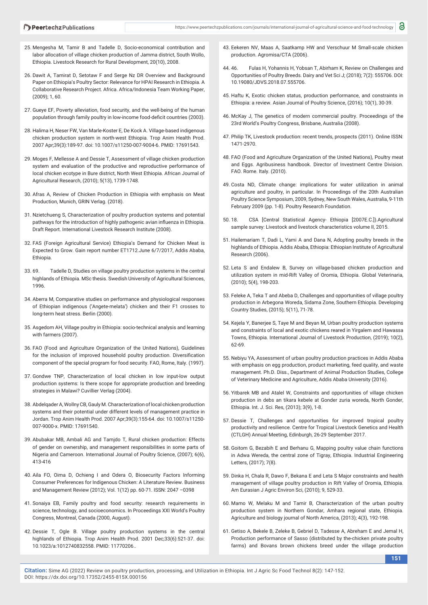- 25. Mengesha M, Tamir B and Tadelle D, Socio-economical contribution and labor allocation of village chicken production of Jamma district, South Wollo, Ethiopia. Livestock Research for Rural Development, 20(10), 2008.
- 26. Dawit A, Tamirat D, Setotaw F and Serge Nz DR Overview and Background Paper on Ethiopia's Poultry Sector: Relevance for HPAI Research in Ethiopia. A Collaborative Research Project. Africa. Africa/Indonesia Team Working Paper, (2009); 1, 60.
- 27. Gueye EF, Poverty alleviation, food security, and the well-being of the human population through family poultry in low-income food-deficit countries (2003).
- 28. Halima H, Neser FW, Van Marle-Koster E, De Kock A. Village-based indigenous chicken production system in north-west Ethiopia. Trop Anim Health Prod. 2007 Apr;39(3):189-97. doi: 10.1007/s11250-007-9004-6. PMID: 17691543.
- 29. Moges F, Mellesse A and Dessie T, Assessment of village chicken production system and evaluation of the productive and reproductive performance of local chicken ecotype in Bure district, North West Ethiopia. African Journal of Agricultural Research, (2010); 5(13), 1739-1748.
- 30. Afras A, Review of Chicken Production in Ethiopia with emphasis on Meat Production, Munich, GRIN Verlag. (2018).
- 31. Nzietchueng S, Characterization of poultry production systems and potential pathways for the introduction of highly pathogenic avian influenza in Ethiopia. Draft Report. International Livestock Research Institute (2008).
- 32. FAS (Foreign Agricultural Service) Ethiopia's Demand for Chicken Meat is Expected to Grow. Gain report number ET1712.June 6/7/2017, Addis Ababa, Ethiopia.
- 33. 69. Tadelle D, Studies on village poultry production systems in the central highlands of Ethiopia. MSc thesis. Swedish University of Agricultural Sciences, 1996.
- 34. Aberra M, Comparative studies on performance and physiological responses of Ethiopian indigenous ('Angete-melata') chicken and their F1 crosses to long-term heat stress. Berlin (2000).
- 35. Asgedom AH, Village poultry in Ethiopia: socio-technical analysis and learning with farmers (2007).
- 36. FAO (Food and Agriculture Organization of the United Nations), Guidelines for the inclusion of improved household poultry production. Diversification component of the special program for food security. FAO, Rome, Italy. (1997).
- 37. Gondwe TNP, Characterization of local chicken in low input-low output production systems: Is there scope for appropriate production and breeding strategies in Malawi? Cuvillier Verlag (2004).
- 38. Abdelqader A, Wollny CB, Gauly M. Characterization of local chicken production systems and their potential under different levels of management practice in Jordan. Trop Anim Health Prod. 2007 Apr;39(3):155-64. doi: 10.1007/s11250- 007-9000-x. PMID: 17691540.
- 39. Abubakar MB, Ambali AG and Tamjdo T, Rural chicken production: Effects of gender on ownership, and management responsibilities in some parts of Nigeria and Cameroon. International Journal of Poultry Science, (2007); 6(6), 413-416
- 40. Aila FO, Oima D, Ochieng I and Odera O, Biosecurity Factors Informing Consumer Preferences for Indigenous Chicken: A Literature Review. Business and Management Review (2012); Vol. 1(12) pp. 60-71. ISSN: 2047 –0398
- 41. Sonaiya EB, Family poultry and food security: research requirements in science, technology, and socioeconomics. In Proceedings XXI World's Poultry Congress, Montreal, Canada (2000, August).
- 42. Dessie T, Ogle B. Village poultry production systems in the central highlands of Ethiopia. Trop Anim Health Prod. 2001 Dec;33(6):521-37. doi: 10.1023/a:1012740832558. PMID: 11770206..
- 43. Eekeren NV, Maas A, Saatkamp HW and Verschuur M Small-scale chicken production. Agromisa/CTA (2006).
- 44. 46. Fulas H, Yohannis H, Yobsan T, Abirham K, Review on Challenges and Opportunities of Poultry Breeds. Dairy and Vet Sci J; (2018); 7(2): 555706. DOI: 10.19080/JDVS.2018.07.555706.
- 45. Haftu K, Exotic chicken status, production performance, and constraints in Ethiopia: a review. Asian Journal of Poultry Science, (2016); 10(1), 30-39.
- 46. McKay J, The genetics of modern commercial poultry. Proceedings of the 23rd World's Poultry Congress, Brisbane, Australia (2008).
- 47. Philip TK, Livestock production: recent trends, prospects (2011). Online ISSN: 1471-2970.
- 48. FAO (Food and Agriculture Organization of the United Nations), Poultry meat and Eggs. Agribusiness handbook. Director of Investment Centre Division. FAO. Rome. Italy. (2010).
- 49. Costa ND, Climate change: implications for water utilization in animal agriculture and poultry, in particular. In Proceedings of the 20th Australian Poultry Science Symposium, 2009, Sydney, New South Wales, Australia, 9-11th February 2009 (pp. 1-8). Poultry Research Foundation.
- 50. 18. CSA [Central Statistical Agency- Ethiopia [2007E.C.]).Agricultural sample survey: Livestock and livestock characteristics volume II, 2015.
- 51. Hailemariam T, Dadi L, Yami A and Dana N, Adopting poultry breeds in the highlands of Ethiopia. Addis Ababa, Ethiopia: Ethiopian Institute of Agricultural Research (2006).
- 52. Leta S and Endalew B, Survey on village-based chicken production and utilization system in mid-Rift Valley of Oromia, Ethiopia. Global Veterinaria, (2010); 5(4), 198-203.
- 53. Feleke A, Teka T and Abeba D, Challenges and opportunities of village poultry production in Arbegona Woreda, Sidama Zone, Southern Ethiopia. Developing Country Studies, (2015); 5(11), 71-78.
- 54. Kejela Y, Banerjee S, Taye M and Beyan M, Urban poultry production systems and constraints of local and exotic chickens reared in Yirgalem and Hawassa Towns, Ethiopia. International Journal of Livestock Production, (2019); 10(2), 62-69.
- 55. Nebiyu YA, Assessment of urban poultry production practices in Addis Ababa with emphasis on egg production, product marketing, feed quality, and waste management. Ph.D. Diss., Department of Animal Production Studies, College of Veterinary Medicine and Agriculture, Addis Ababa University (2016).
- 56. Yitbarek MB and Atalel W, Constraints and opportunities of village chicken production in debs an tikara kebele at Gonder zuria woreda, North Gonder, Ethiopia. Int. J. Sci. Res, (2013); 3(9), 1-8.
- 57. Dessie T, Challenges and opportunities for improved tropical poultry productivity and resilience. Centre for Tropical Livestock Genetics and Health (CTLGH) Annual Meeting, Edinburgh, 26-29 September 2017.
- 58. Goitom G, Bezabih E and Berhanu G, Mapping poultry value chain functions in Adwa Wereda, the central zone of Tigray, Ethiopia. Industrial Engineering Letters, (2017); 7(8).
- 59. Dinka H, Chala R, Dawo F, Bekana E and Leta S Major constraints and health management of village poultry production in Rift Valley of Oromia, Ethiopia. Am Eurasian J Agric Environ Sci, (2010); 9, 529-33.
- 60. Mamo W, Melaku M and Tamir B, Characterization of the urban poultry production system in Northern Gondar, Amhara regional state, Ethiopia. Agriculture and biology journal of North America, (2013); 4(3), 192-198.
- 61. Getiso A, Bekele B, Zeleke B, Gebriel D, Tadesse A, Abreham E and Jemal H, Production performance of Sasso (distributed by the-chicken private poultry farms) and Bovans brown chickens breed under the village production